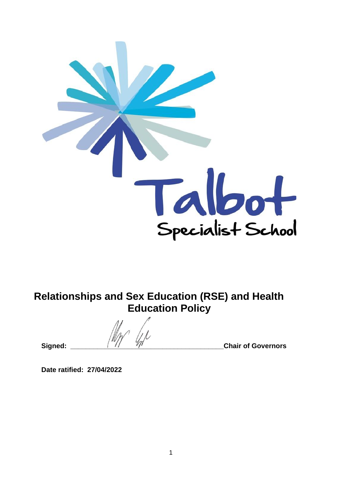

**Relationships and Sex Education (RSE) and Health Education Policy**

Signed:  $\frac{1}{\sqrt{1-\frac{1}{\sqrt{1-\frac{1}{\sqrt{1-\frac{1}{\sqrt{1-\frac{1}{\sqrt{1-\frac{1}{\sqrt{1-\frac{1}{\sqrt{1-\frac{1}{\sqrt{1-\frac{1}{\sqrt{1-\frac{1}{\sqrt{1-\frac{1}{\sqrt{1-\frac{1}{\sqrt{1-\frac{1}{\sqrt{1-\frac{1}{\sqrt{1-\frac{1}{\sqrt{1-\frac{1}{\sqrt{1-\frac{1}{\sqrt{1-\frac{1}{\sqrt{1-\frac{1}{\sqrt{1-\frac{1}{\sqrt{1-\frac{1}{\sqrt{1-\frac{1}{\sqrt{1-\frac{1}{\sqrt{1-\frac{1}{\$ 

**Date ratified: 27/04/2022**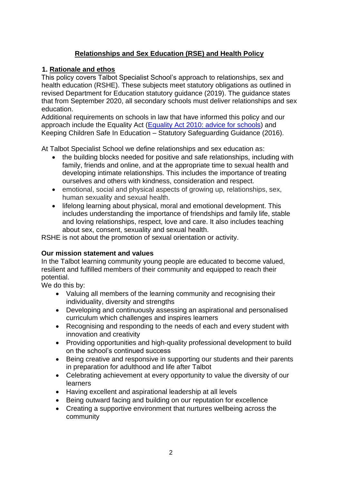# **Relationships and Sex Education (RSE) and Health Policy**

## **1. Rationale and ethos**

This policy covers Talbot Specialist School's approach to relationships, sex and health education (RSHE). These subjects meet statutory obligations as outlined in revised Department for Education statutory guidance (2019). The guidance states that from September 2020, all secondary schools must deliver relationships and sex education.

Additional requirements on schools in law that have informed this policy and our approach include the Equality Act (Equality Act 2010: advice for schools) and Keeping Children Safe In Education – Statutory Safeguarding Guidance (2016).

At Talbot Specialist School we define relationships and sex education as:

- the building blocks needed for positive and safe relationships, including with family, friends and online, and at the appropriate time to sexual health and developing intimate relationships. This includes the importance of treating ourselves and others with kindness, consideration and respect.
- emotional, social and physical aspects of growing up, relationships, sex, human sexuality and sexual health.
- lifelong learning about physical, moral and emotional development. This includes understanding the importance of friendships and family life, stable and loving relationships, respect, love and care. It also includes teaching about sex, consent, sexuality and sexual health.

RSHE is not about the promotion of sexual orientation or activity.

## **Our mission statement and values**

In the Talbot learning community young people are educated to become valued, resilient and fulfilled members of their community and equipped to reach their potential.

We do this by:

- Valuing all members of the learning community and recognising their individuality, diversity and strengths
- Developing and continuously assessing an aspirational and personalised curriculum which challenges and inspires learners
- Recognising and responding to the needs of each and every student with innovation and creativity
- Providing opportunities and high-quality professional development to build on the school's continued success
- Being creative and responsive in supporting our students and their parents in preparation for adulthood and life after Talbot
- Celebrating achievement at every opportunity to value the diversity of our learners
- Having excellent and aspirational leadership at all levels
- Being outward facing and building on our reputation for excellence
- Creating a supportive environment that nurtures wellbeing across the community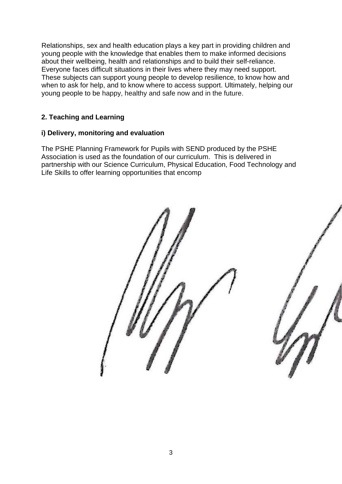Relationships, sex and health education plays a key part in providing children and young people with the knowledge that enables them to make informed decisions about their wellbeing, health and relationships and to build their self-reliance. Everyone faces difficult situations in their lives where they may need support. These subjects can support young people to develop resilience, to know how and when to ask for help, and to know where to access support. Ultimately, helping our young people to be happy, healthy and safe now and in the future.

## **2. Teaching and Learning**

## **i) Delivery, monitoring and evaluation**

The PSHE Planning Framework for Pupils with SEND produced by the PSHE Association is used as the foundation of our curriculum. This is delivered in partnership with our Science Curriculum, Physical Education, Food Technology and Life Skills to offer learning opportunities that encomp



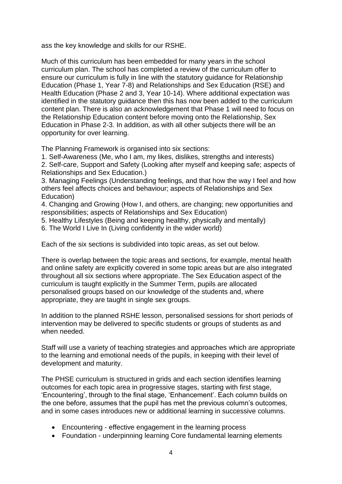ass the key knowledge and skills for our RSHE.

Much of this curriculum has been embedded for many years in the school curriculum plan. The school has completed a review of the curriculum offer to ensure our curriculum is fully in line with the statutory guidance for Relationship Education (Phase 1, Year 7-8) and Relationships and Sex Education (RSE) and Health Education (Phase 2 and 3, Year 10-14). Where additional expectation was identified in the statutory guidance then this has now been added to the curriculum content plan. There is also an acknowledgement that Phase 1 will need to focus on the Relationship Education content before moving onto the Relationship, Sex Education in Phase 2-3. In addition, as with all other subjects there will be an opportunity for over learning.

The Planning Framework is organised into six sections:

1. Self-Awareness (Me, who I am, my likes, dislikes, strengths and interests)

2. Self-care, Support and Safety (Looking after myself and keeping safe; aspects of Relationships and Sex Education.)

3. Managing Feelings (Understanding feelings, and that how the way I feel and how others feel affects choices and behaviour; aspects of Relationships and Sex Education)

4. Changing and Growing (How I, and others, are changing; new opportunities and responsibilities; aspects of Relationships and Sex Education)

5. Healthy Lifestyles (Being and keeping healthy, physically and mentally)

6. The World I Live In (Living confidently in the wider world)

Each of the six sections is subdivided into topic areas, as set out below.

There is overlap between the topic areas and sections, for example, mental health and online safety are explicitly covered in some topic areas but are also integrated throughout all six sections where appropriate. The Sex Education aspect of the curriculum is taught explicitly in the Summer Term, pupils are allocated personalised groups based on our knowledge of the students and, where appropriate, they are taught in single sex groups.

In addition to the planned RSHE lesson, personalised sessions for short periods of intervention may be delivered to specific students or groups of students as and when needed.

Staff will use a variety of teaching strategies and approaches which are appropriate to the learning and emotional needs of the pupils, in keeping with their level of development and maturity.

The PHSE curriculum is structured in grids and each section identifies learning outcomes for each topic area in progressive stages, starting with first stage, 'Encountering', through to the final stage, 'Enhancement'. Each column builds on the one before, assumes that the pupil has met the previous column's outcomes, and in some cases introduces new or additional learning in successive columns.

- Encountering effective engagement in the learning process
- Foundation underpinning learning Core fundamental learning elements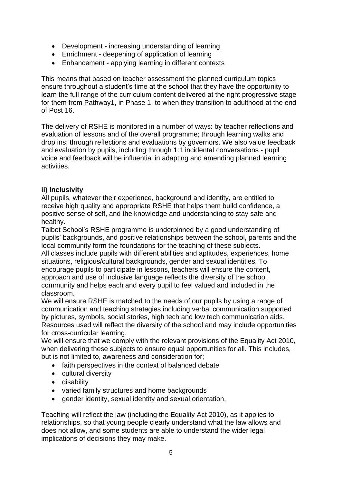- Development increasing understanding of learning
- Enrichment deepening of application of learning
- Enhancement applying learning in different contexts

This means that based on teacher assessment the planned curriculum topics ensure throughout a student's time at the school that they have the opportunity to learn the full range of the curriculum content delivered at the right progressive stage for them from Pathway1, in Phase 1, to when they transition to adulthood at the end of Post 16.

The delivery of RSHE is monitored in a number of ways: by teacher reflections and evaluation of lessons and of the overall programme; through learning walks and drop ins; through reflections and evaluations by governors. We also value feedback and evaluation by pupils, including through 1:1 incidental conversations - pupil voice and feedback will be influential in adapting and amending planned learning activities.

## **ii) Inclusivity**

All pupils, whatever their experience, background and identity, are entitled to receive high quality and appropriate RSHE that helps them build confidence, a positive sense of self, and the knowledge and understanding to stay safe and healthy.

Talbot School's RSHE programme is underpinned by a good understanding of pupils' backgrounds, and positive relationships between the school, parents and the local community form the foundations for the teaching of these subjects. All classes include pupils with different abilities and aptitudes, experiences, home situations, religious/cultural backgrounds, gender and sexual identities. To encourage pupils to participate in lessons, teachers will ensure the content, approach and use of inclusive language reflects the diversity of the school community and helps each and every pupil to feel valued and included in the classroom.

We will ensure RSHE is matched to the needs of our pupils by using a range of communication and teaching strategies including verbal communication supported by pictures, symbols, social stories, high tech and low tech communication aids. Resources used will reflect the diversity of the school and may include opportunities for cross-curricular learning.

We will ensure that we comply with the relevant provisions of the Equality Act 2010, when delivering these subjects to ensure equal opportunities for all. This includes, but is not limited to, awareness and consideration for;

- faith perspectives in the context of balanced debate
- cultural diversity
- disability
- varied family structures and home backgrounds
- gender identity, sexual identity and sexual orientation.

Teaching will reflect the law (including the Equality Act 2010), as it applies to relationships, so that young people clearly understand what the law allows and does not allow, and some students are able to understand the wider legal implications of decisions they may make.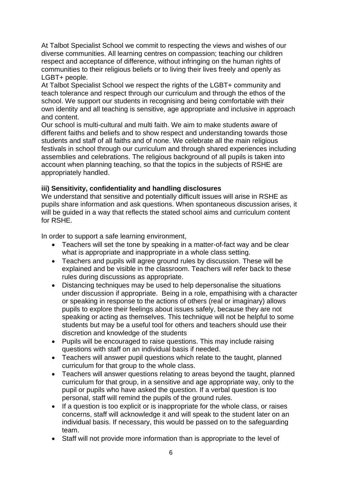At Talbot Specialist School we commit to respecting the views and wishes of our diverse communities. All learning centres on compassion; teaching our children respect and acceptance of difference, without infringing on the human rights of communities to their religious beliefs or to living their lives freely and openly as LGBT+ people.

At Talbot Specialist School we respect the rights of the LGBT+ community and teach tolerance and respect through our curriculum and through the ethos of the school. We support our students in recognising and being comfortable with their own identity and all teaching is sensitive, age appropriate and inclusive in approach and content.

Our school is multi-cultural and multi faith. We aim to make students aware of different faiths and beliefs and to show respect and understanding towards those students and staff of all faiths and of none. We celebrate all the main religious festivals in school through our curriculum and through shared experiences including assemblies and celebrations. The religious background of all pupils is taken into account when planning teaching, so that the topics in the subjects of RSHE are appropriately handled.

## **iii) Sensitivity, confidentiality and handling disclosures**

We understand that sensitive and potentially difficult issues will arise in RSHE as pupils share information and ask questions. When spontaneous discussion arises, it will be guided in a way that reflects the stated school aims and curriculum content for RSHE.

In order to support a safe learning environment,

- Teachers will set the tone by speaking in a matter-of-fact way and be clear what is appropriate and inappropriate in a whole class setting.
- Teachers and pupils will agree ground rules by discussion. These will be explained and be visible in the classroom. Teachers will refer back to these rules during discussions as appropriate.
- Distancing techniques may be used to help depersonalise the situations under discussion if appropriate. Being in a role, empathising with a character or speaking in response to the actions of others (real or imaginary) allows pupils to explore their feelings about issues safely, because they are not speaking or acting as themselves. This technique will not be helpful to some students but may be a useful tool for others and teachers should use their discretion and knowledge of the students
- Pupils will be encouraged to raise questions. This may include raising questions with staff on an individual basis if needed.
- Teachers will answer pupil questions which relate to the taught, planned curriculum for that group to the whole class.
- Teachers will answer questions relating to areas beyond the taught, planned curriculum for that group, in a sensitive and age appropriate way, only to the pupil or pupils who have asked the question. If a verbal question is too personal, staff will remind the pupils of the ground rules.
- If a question is too explicit or is inappropriate for the whole class, or raises concerns, staff will acknowledge it and will speak to the student later on an individual basis. If necessary, this would be passed on to the safeguarding team.
- Staff will not provide more information than is appropriate to the level of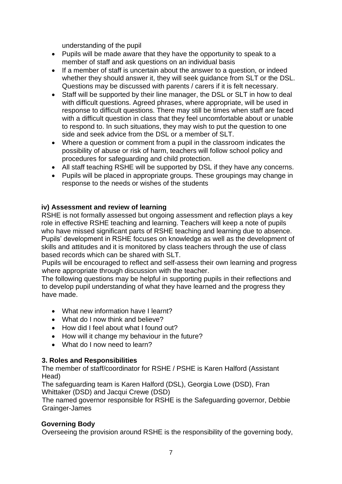understanding of the pupil

- Pupils will be made aware that they have the opportunity to speak to a member of staff and ask questions on an individual basis
- If a member of staff is uncertain about the answer to a question, or indeed whether they should answer it, they will seek guidance from SLT or the DSL. Questions may be discussed with parents / carers if it is felt necessary.
- Staff will be supported by their line manager, the DSL or SLT in how to deal with difficult questions. Agreed phrases, where appropriate, will be used in response to difficult questions. There may still be times when staff are faced with a difficult question in class that they feel uncomfortable about or unable to respond to. In such situations, they may wish to put the question to one side and seek advice from the DSL or a member of SLT.
- Where a question or comment from a pupil in the classroom indicates the possibility of abuse or risk of harm, teachers will follow school policy and procedures for safeguarding and child protection.
- All staff teaching RSHE will be supported by DSL if they have any concerns.
- Pupils will be placed in appropriate groups. These groupings may change in response to the needs or wishes of the students

## **iv) Assessment and review of learning**

RSHE is not formally assessed but ongoing assessment and reflection plays a key role in effective RSHE teaching and learning. Teachers will keep a note of pupils who have missed significant parts of RSHE teaching and learning due to absence. Pupils' development in RSHE focuses on knowledge as well as the development of skills and attitudes and it is monitored by class teachers through the use of class based records which can be shared with SLT.

Pupils will be encouraged to reflect and self-assess their own learning and progress where appropriate through discussion with the teacher.

The following questions may be helpful in supporting pupils in their reflections and to develop pupil understanding of what they have learned and the progress they have made.

- What new information have I learnt?
- What do I now think and believe?
- How did I feel about what I found out?
- How will it change my behaviour in the future?
- What do I now need to learn?

## **3. Roles and Responsibilities**

The member of staff/coordinator for RSHE / PSHE is Karen Halford (Assistant Head)

The safeguarding team is Karen Halford (DSL), Georgia Lowe (DSD), Fran Whittaker (DSD) and Jacqui Crewe (DSD)

The named governor responsible for RSHE is the Safeguarding governor, Debbie Grainger-James

### **Governing Body**

Overseeing the provision around RSHE is the responsibility of the governing body,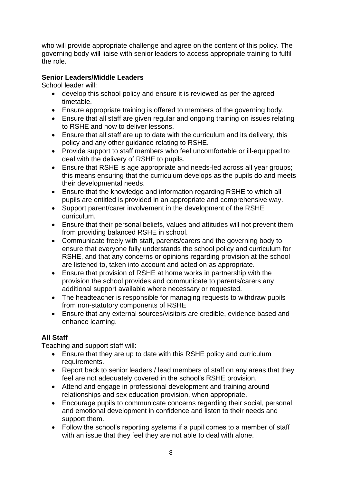who will provide appropriate challenge and agree on the content of this policy. The governing body will liaise with senior leaders to access appropriate training to fulfil the role.

## **Senior Leaders/Middle Leaders**

School leader will:

- develop this school policy and ensure it is reviewed as per the agreed timetable.
- Ensure appropriate training is offered to members of the governing body.
- Ensure that all staff are given regular and ongoing training on issues relating to RSHE and how to deliver lessons.
- Ensure that all staff are up to date with the curriculum and its delivery, this policy and any other guidance relating to RSHE.
- Provide support to staff members who feel uncomfortable or ill-equipped to deal with the delivery of RSHE to pupils.
- Ensure that RSHE is age appropriate and needs-led across all year groups; this means ensuring that the curriculum develops as the pupils do and meets their developmental needs.
- Ensure that the knowledge and information regarding RSHE to which all pupils are entitled is provided in an appropriate and comprehensive way.
- Support parent/carer involvement in the development of the RSHE curriculum.
- Ensure that their personal beliefs, values and attitudes will not prevent them from providing balanced RSHE in school.
- Communicate freely with staff, parents/carers and the governing body to ensure that everyone fully understands the school policy and curriculum for RSHE, and that any concerns or opinions regarding provision at the school are listened to, taken into account and acted on as appropriate.
- Ensure that provision of RSHE at home works in partnership with the provision the school provides and communicate to parents/carers any additional support available where necessary or requested.
- The headteacher is responsible for managing requests to withdraw pupils from non-statutory components of RSHE
- Ensure that any external sources/visitors are credible, evidence based and enhance learning.

## **All Staff**

Teaching and support staff will:

- Ensure that they are up to date with this RSHE policy and curriculum requirements.
- Report back to senior leaders / lead members of staff on any areas that they feel are not adequately covered in the school's RSHE provision.
- Attend and engage in professional development and training around relationships and sex education provision, when appropriate.
- Encourage pupils to communicate concerns regarding their social, personal and emotional development in confidence and listen to their needs and support them.
- Follow the school's reporting systems if a pupil comes to a member of staff with an issue that they feel they are not able to deal with alone.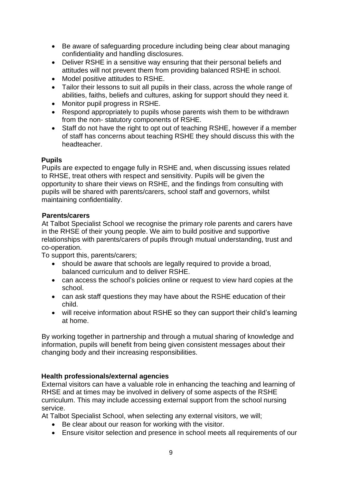- Be aware of safeguarding procedure including being clear about managing confidentiality and handling disclosures.
- Deliver RSHE in a sensitive way ensuring that their personal beliefs and attitudes will not prevent them from providing balanced RSHE in school.
- Model positive attitudes to RSHE.
- Tailor their lessons to suit all pupils in their class, across the whole range of abilities, faiths, beliefs and cultures, asking for support should they need it.
- Monitor pupil progress in RSHE.
- Respond appropriately to pupils whose parents wish them to be withdrawn from the non- statutory components of RSHE.
- Staff do not have the right to opt out of teaching RSHE, however if a member of staff has concerns about teaching RSHE they should discuss this with the headteacher.

## **Pupils**

Pupils are expected to engage fully in RSHE and, when discussing issues related to RHSE, treat others with respect and sensitivity. Pupils will be given the opportunity to share their views on RSHE, and the findings from consulting with pupils will be shared with parents/carers, school staff and governors, whilst maintaining confidentiality.

## **Parents/carers**

At Talbot Specialist School we recognise the primary role parents and carers have in the RHSE of their young people. We aim to build positive and supportive relationships with parents/carers of pupils through mutual understanding, trust and co-operation.

To support this, parents/carers;

- should be aware that schools are legally required to provide a broad, balanced curriculum and to deliver RSHE.
- can access the school's policies online or request to view hard copies at the school.
- can ask staff questions they may have about the RSHE education of their child.
- will receive information about RSHE so they can support their child's learning at home.

By working together in partnership and through a mutual sharing of knowledge and information, pupils will benefit from being given consistent messages about their changing body and their increasing responsibilities.

## **Health professionals/external agencies**

External visitors can have a valuable role in enhancing the teaching and learning of RHSE and at times may be involved in delivery of some aspects of the RSHE curriculum. This may include accessing external support from the school nursing service.

At Talbot Specialist School, when selecting any external visitors, we will;

- Be clear about our reason for working with the visitor.
- Ensure visitor selection and presence in school meets all requirements of our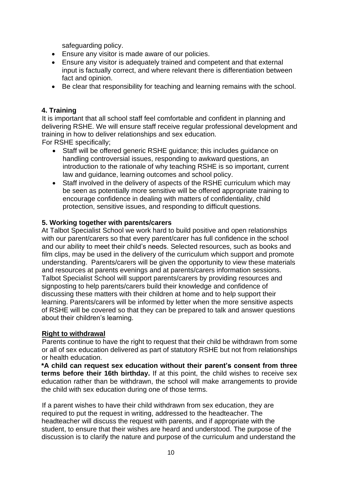safeguarding policy.

- Ensure any visitor is made aware of our policies.
- Ensure any visitor is adequately trained and competent and that external input is factually correct, and where relevant there is differentiation between fact and opinion.
- Be clear that responsibility for teaching and learning remains with the school.

## **4. Training**

It is important that all school staff feel comfortable and confident in planning and delivering RSHE. We will ensure staff receive regular professional development and training in how to deliver relationships and sex education. For RSHE specifically;

- Staff will be offered generic RSHE guidance; this includes guidance on handling controversial issues, responding to awkward questions, an introduction to the rationale of why teaching RSHE is so important, current law and guidance, learning outcomes and school policy.
- Staff involved in the delivery of aspects of the RSHE curriculum which may be seen as potentially more sensitive will be offered appropriate training to encourage confidence in dealing with matters of confidentiality, child protection, sensitive issues, and responding to difficult questions.

### **5. Working together with parents/carers**

At Talbot Specialist School we work hard to build positive and open relationships with our parent/carers so that every parent/carer has full confidence in the school and our ability to meet their child's needs. Selected resources, such as books and film clips, may be used in the delivery of the curriculum which support and promote understanding. Parents/carers will be given the opportunity to view these materials and resources at parents evenings and at parents/carers information sessions. Talbot Specialist School will support parents/carers by providing resources and signposting to help parents/carers build their knowledge and confidence of discussing these matters with their children at home and to help support their learning. Parents/carers will be informed by letter when the more sensitive aspects of RSHE will be covered so that they can be prepared to talk and answer questions about their children's learning.

### **Right to withdrawal**

Parents continue to have the right to request that their child be withdrawn from some or all of sex education delivered as part of statutory RSHE but not from relationships or health education.

**\*A child can request sex education without their parent's consent from three terms before their 16th birthday.** If at this point, the child wishes to receive sex education rather than be withdrawn, the school will make arrangements to provide the child with sex education during one of those terms.

If a parent wishes to have their child withdrawn from sex education, they are required to put the request in writing, addressed to the headteacher. The headteacher will discuss the request with parents, and if appropriate with the student, to ensure that their wishes are heard and understood. The purpose of the discussion is to clarify the nature and purpose of the curriculum and understand the